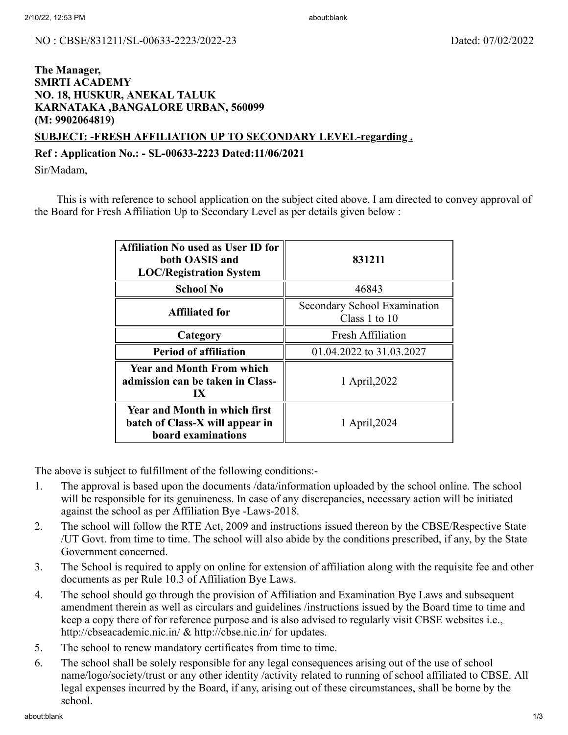NO : CBSE/831211/SL-00633-2223/2022-23 Dated: 07/02/2022

# **The Manager, SMRTI ACADEMY NO. 18, HUSKUR, ANEKAL TALUK KARNATAKA ,BANGALORE URBAN, 560099 (M: 9902064819) SUBJECT: -FRESH AFFILIATION UP TO SECONDARY LEVEL-regarding .**

**Ref : Application No.: - SL-00633-2223 Dated:11/06/2021**

Sir/Madam,

This is with reference to school application on the subject cited above. I am directed to convey approval of the Board for Fresh Affiliation Up to Secondary Level as per details given below :

| <b>Affiliation No used as User ID for</b><br>both OASIS and<br><b>LOC/Registration System</b>        | 831211                                        |  |
|------------------------------------------------------------------------------------------------------|-----------------------------------------------|--|
| <b>School No</b>                                                                                     | 46843                                         |  |
| <b>Affiliated for</b>                                                                                | Secondary School Examination<br>Class 1 to 10 |  |
| Category                                                                                             | <b>Fresh Affiliation</b>                      |  |
| <b>Period of affiliation</b>                                                                         | 01.04.2022 to 31.03.2027                      |  |
| <b>Year and Month From which</b><br>admission can be taken in Class-<br>$\mathbf{I} \mathbf{X}$      | 1 April, 2022                                 |  |
| <b>Year and Month in which first</b><br>batch of Class-X will appear in<br><b>board examinations</b> | 1 April, 2024                                 |  |

The above is subject to fulfillment of the following conditions:-

- 1. The approval is based upon the documents /data/information uploaded by the school online. The school will be responsible for its genuineness. In case of any discrepancies, necessary action will be initiated against the school as per Affiliation Bye -Laws-2018.
- 2. The school will follow the RTE Act, 2009 and instructions issued thereon by the CBSE/Respective State /UT Govt. from time to time. The school will also abide by the conditions prescribed, if any, by the State Government concerned.
- 3. The School is required to apply on online for extension of affiliation along with the requisite fee and other documents as per Rule 10.3 of Affiliation Bye Laws.
- 4. The school should go through the provision of Affiliation and Examination Bye Laws and subsequent amendment therein as well as circulars and guidelines /instructions issued by the Board time to time and keep a copy there of for reference purpose and is also advised to regularly visit CBSE websites i.e., http://cbseacademic.nic.in/ & http://cbse.nic.in/ for updates.
- 5. The school to renew mandatory certificates from time to time.
- 6. The school shall be solely responsible for any legal consequences arising out of the use of school name/logo/society/trust or any other identity /activity related to running of school affiliated to CBSE. All legal expenses incurred by the Board, if any, arising out of these circumstances, shall be borne by the school.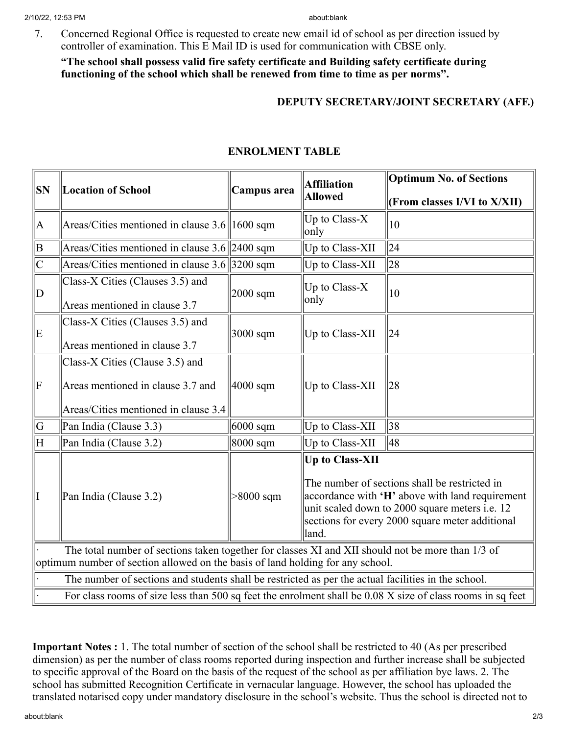7. Concerned Regional Office is requested to create new email id of school as per direction issued by controller of examination. This E Mail ID is used for communication with CBSE only.

**"The school shall possess valid fire safety certificate and Building safety certificate during functioning of the school which shall be renewed from time to time as per norms".**

## **DEPUTY SECRETARY/JOINT SECRETARY (AFF.)**

| <b>SN</b>                                                                                                                                                                           | <b>Location of School</b>                       | Campus area          | Affiliation<br><b>Allowed</b>                                                                                                                                                                                                             | <b>Optimum No. of Sections</b> |  |
|-------------------------------------------------------------------------------------------------------------------------------------------------------------------------------------|-------------------------------------------------|----------------------|-------------------------------------------------------------------------------------------------------------------------------------------------------------------------------------------------------------------------------------------|--------------------------------|--|
|                                                                                                                                                                                     |                                                 |                      |                                                                                                                                                                                                                                           | (From classes I/VI to X/XII)   |  |
| A                                                                                                                                                                                   | Areas/Cities mentioned in clause $3.6$ 1600 sqm |                      | Up to Class-X<br>only                                                                                                                                                                                                                     | $ 10\rangle$                   |  |
| B                                                                                                                                                                                   | Areas/Cities mentioned in clause $3.6$ 2400 sqm |                      | Up to Class-XII                                                                                                                                                                                                                           | 24                             |  |
| $\overline{\text{C}}$                                                                                                                                                               | Areas/Cities mentioned in clause $3.6$ 3200 sqm |                      | Up to Class-XII                                                                                                                                                                                                                           | 28                             |  |
| $\mathbb D$                                                                                                                                                                         | Class-X Cities (Clauses 3.5) and                | $2000$ sqm           | Up to Class- $X$<br>only                                                                                                                                                                                                                  | 10                             |  |
|                                                                                                                                                                                     | Areas mentioned in clause 3.7                   |                      |                                                                                                                                                                                                                                           |                                |  |
| E                                                                                                                                                                                   | Class-X Cities (Clauses 3.5) and                | 3000 sqm             | Up to Class-XII                                                                                                                                                                                                                           | 24                             |  |
|                                                                                                                                                                                     | Areas mentioned in clause 3.7                   |                      |                                                                                                                                                                                                                                           |                                |  |
| $\parallel$ F                                                                                                                                                                       | Class-X Cities (Clause 3.5) and                 | $ 4000 \text{ sqm} $ | Up to Class-XII                                                                                                                                                                                                                           | 28                             |  |
|                                                                                                                                                                                     | Areas mentioned in clause 3.7 and               |                      |                                                                                                                                                                                                                                           |                                |  |
|                                                                                                                                                                                     | Areas/Cities mentioned in clause 3.4            |                      |                                                                                                                                                                                                                                           |                                |  |
| G                                                                                                                                                                                   | Pan India (Clause 3.3)                          | $6000$ sqm           | Up to Class-XII                                                                                                                                                                                                                           | 38                             |  |
| $\overline{\mathrm{H}}$                                                                                                                                                             | Pan India (Clause 3.2)                          | 8000 sqm             | Up to Class-XII                                                                                                                                                                                                                           | 48                             |  |
| $\  \text{I}$                                                                                                                                                                       | Pan India (Clause 3.2)                          | $>8000$ sqm          | <b>Up to Class-XII</b><br>The number of sections shall be restricted in<br>accordance with 'H' above with land requirement<br>unit scaled down to 2000 square meters i.e. 12<br>sections for every 2000 square meter additional<br>lland. |                                |  |
| The total number of sections taken together for classes XI and XII should not be more than 1/3 of<br>optimum number of section allowed on the basis of land holding for any school. |                                                 |                      |                                                                                                                                                                                                                                           |                                |  |
| The number of sections and students shall be restricted as per the actual facilities in the school.                                                                                 |                                                 |                      |                                                                                                                                                                                                                                           |                                |  |
| For class rooms of size less than 500 sq feet the enrolment shall be 0.08 X size of class rooms in sq feet                                                                          |                                                 |                      |                                                                                                                                                                                                                                           |                                |  |

### **ENROLMENT TABLE**

**Important Notes :** 1. The total number of section of the school shall be restricted to 40 (As per prescribed dimension) as per the number of class rooms reported during inspection and further increase shall be subjected to specific approval of the Board on the basis of the request of the school as per affiliation bye laws. 2. The school has submitted Recognition Certificate in vernacular language. However, the school has uploaded the translated notarised copy under mandatory disclosure in the school's website. Thus the school is directed not to